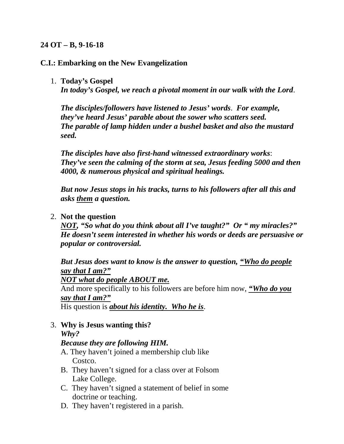### **24 OT – B, 9-16-18**

#### **C.I.: Embarking on the New Evangelization**

#### 1. **Today's Gospel**

*In today's Gospel, we reach a pivotal moment in our walk with the Lord*.

*The disciples/followers have listened to Jesus' words*. *For example, they've heard Jesus' parable about the sower who scatters seed. The parable of lamp hidden under a bushel basket and also the mustard seed.*

*The disciples have also first-hand witnessed extraordinary works*: *They've seen the calming of the storm at sea, Jesus feeding 5000 and then 4000, & numerous physical and spiritual healings.*

*But now Jesus stops in his tracks, turns to his followers after all this and asks them a question.*

#### 2. **Not the question**

*NOT, "So what do you think about all I've taught?" Or " my miracles?" He doesn't seem interested in whether his words or deeds are persuasive or popular or controversial.*

*But Jesus does want to know is the answer to question, "Who do people say that I am?"*

*NOT what do people ABOUT me.*

And more specifically to his followers are before him now, *"Who do you say that I am?"*

His question is *about his identity. Who he is*.

3. **Why is Jesus wanting this?** *Why?*

### *Because they are following HIM.*

- A. They haven't joined a membership club like Costco.
- B. They haven't signed for a class over at Folsom Lake College.
- C. They haven't signed a statement of belief in some doctrine or teaching.
- D. They haven't registered in a parish.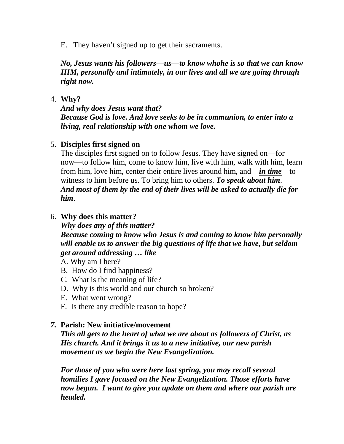E. They haven't signed up to get their sacraments.

*No, Jesus wants his followers—us—to know whohe is so that we can know HIM, personally and intimately, in our lives and all we are going through right now.*

#### 4. **Why?**

*And why does Jesus want that? Because God is love. And love seeks to be in communion, to enter into a living, real relationship with one whom we love.*

### 5. **Disciples first signed on**

The disciples first signed on to follow Jesus. They have signed on—for now—to follow him, come to know him, live with him, walk with him, learn from him, love him, center their entire lives around him, and—*in time*—to witness to him before us. To bring him to others. *To speak about him*. *And most of them by the end of their lives will be asked to actually die for him*.

### 6. **Why does this matter?**

*Why does any of this matter?*

*Because coming to know who Jesus is and coming to know him personally will enable us to answer the big questions of life that we have, but seldom get around addressing … like*

A. Why am I here?

- B. How do I find happiness?
- C. What is the meaning of life?
- D. Why is this world and our church so broken?
- E. What went wrong?
- F. Is there any credible reason to hope?

## *7.* **Parish: New initiative/movement**

*This all gets to the heart of what we are about as followers of Christ, as His church. And it brings it us to a new initiative, our new parish movement as we begin the New Evangelization.*

*For those of you who were here last spring, you may recall several homilies I gave focused on the New Evangelization. Those efforts have now begun. I want to give you update on them and where our parish are headed.*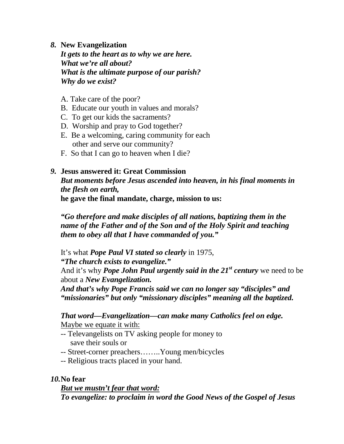### *8.* **New Evangelization**

*It gets to the heart as to why we are here. What we're all about? What is the ultimate purpose of our parish? Why do we exist?*

- A. Take care of the poor?
- B. Educate our youth in values and morals?
- C. To get our kids the sacraments?
- D. Worship and pray to God together?
- E. Be a welcoming, caring community for each other and serve our community?
- F. So that I can go to heaven when I die?

# *9.* **Jesus answered it: Great Commission**

*But moments before Jesus ascended into heaven, in his final moments in the flesh on earth,* **he gave the final mandate, charge, mission to us:**

*"Go therefore and make disciples of all nations, baptizing them in the name of the Father and of the Son and of the Holy Spirit and teaching them to obey all that I have commanded of you."*

It's what *Pope Paul VI stated so clearly* in 1975,

*"The church exists to evangelize."*

And it's why *Pope John Paul urgently said in the 21st century* we need to be about a *New Evangelization.*

*And that's why Pope Francis said we can no longer say "disciples" and "missionaries" but only "missionary disciples" meaning all the baptized.*

*That word—Evangelization—can make many Catholics feel on edge.* Maybe we equate it with:

- -- Televangelists on TV asking people for money to save their souls or
- -- Street-corner preachers……..Young men/bicycles
- -- Religious tracts placed in your hand.

# *10.***No fear**

*But we mustn't fear that word: To evangelize: to proclaim in word the Good News of the Gospel of Jesus*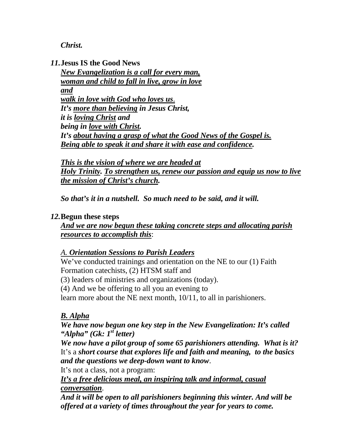*Christ.*

*11.***Jesus IS the Good News**

*New Evangelization is a call for every man, woman and child to fall in live, grow in love and walk in love with God who loves us*. *It's more than believing in Jesus Christ, it is loving Christ and being in love with Christ. It's about having a grasp of what the Good News of the Gospel is. Being able to speak it and share it with ease and confidence.*

*This is the vision of where we are headed at Holy Trinity. To strengthen us, renew our passion and equip us now to live the mission of Christ's church.*

*So that's it in a nutshell. So much need to be said, and it will.*

## *12.***Begun these steps**

*And we are now begun these taking concrete steps and allocating parish resources to accomplish this*:

## *A. Orientation Sessions to Parish Leaders*

We've conducted trainings and orientation on the NE to our (1) Faith Formation catechists, (2) HTSM staff and (3) leaders of ministries and organizations (today). (4) And we be offering to all you an evening to learn more about the NE next month, 10/11, to all in parishioners.

# *B. Alpha*

*We have now begun one key step in the New Evangelization: It's called "Alpha" (Gk: 1st letter)*

*We now have a pilot group of some 65 parishioners attending. What is it?* It's a *short course that explores life and faith and meaning, to the basics and the questions we deep-down want to know*.

It's not a class, not a program:

*It's a free delicious meal, an inspiring talk and informal, casual conversation*.

*And it will be open to all parishioners beginning this winter. And will be offered at a variety of times throughout the year for years to come.*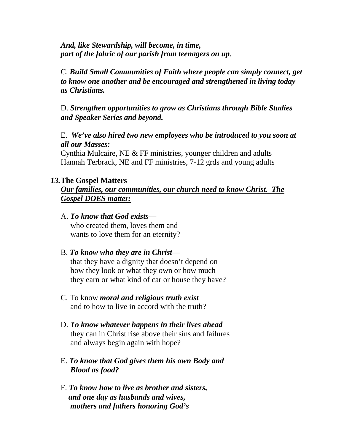*And, like Stewardship, will become, in time, part of the fabric of our parish from teenagers on up*.

C. *Build Small Communities of Faith where people can simply connect, get to know one another and be encouraged and strengthened in living today as Christians.*

D. *Strengthen opportunities to grow as Christians through Bible Studies and Speaker Series and beyond.*

E. *We've also hired two new employees who be introduced to you soon at all our Masses:*

Cynthia Mulcaire, NE & FF ministries, younger children and adults Hannah Terbrack, NE and FF ministries, 7-12 grds and young adults

#### *13.***The Gospel Matters**

*Our families, our communities, our church need to know Christ. The Gospel DOES matter:*

A. *To know that God exists* who created them, loves them and wants to love them for an eternity?

### B. *To know who they are in Christ—*

 that they have a dignity that doesn't depend on how they look or what they own or how much they earn or what kind of car or house they have?

- C. To know *moral and religious truth exist* and to how to live in accord with the truth?
- D. *To know whatever happens in their lives ahead* they can in Christ rise above their sins and failures and always begin again with hope?
- E. *To know that God gives them his own Body and Blood as food?*
- F. *To know how to live as brother and sisters, and one day as husbands and wives, mothers and fathers honoring God's*